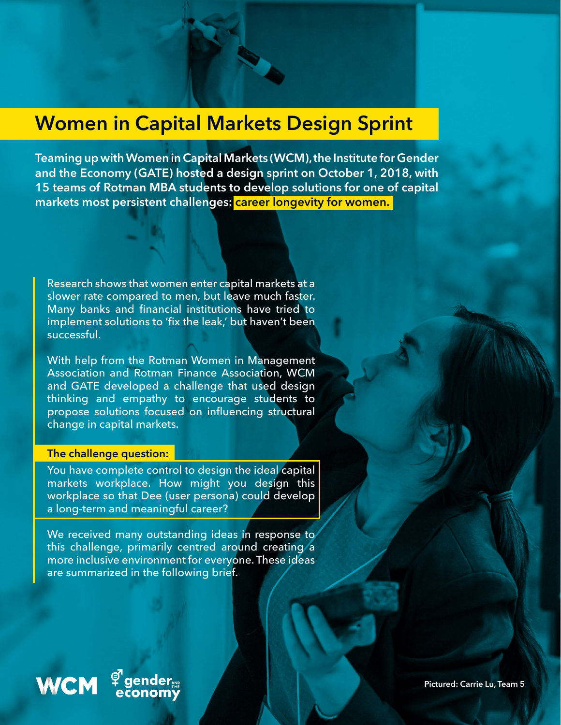## **Women in Capital Markets Design Sprint**

**Teaming up with Women in Capital Markets (WCM), the Institute for Gender and the Economy (GATE) hosted a design sprint on October 1, 2018, with 15 teams of Rotman MBA students to develop solutions for one of capital**  markets most persistent challenges: **career longevity for women.** 

Research shows that women enter capital markets at a slower rate compared to men, but leave much faster. Many banks and financial institutions have tried to implement solutions to 'fix the leak,' but haven't been successful.

With help from the Rotman Women in Management Association and Rotman Finance Association, WCM and GATE developed a challenge that used design thinking and empathy to encourage students to propose solutions focused on influencing structural change in capital markets.

#### **The challenge question:**

You have complete control to design the ideal capital markets workplace. How might you design this workplace so that Dee (user persona) could develop a long-term and meaningful career?

We received many outstanding ideas in response to this challenge, primarily centred around creating a more inclusive environment for everyone. These ideas are summarized in the following brief.

# WCM  $\frac{9}{6}$

#### **gender onom**ÿ

**Pictured: Carrie Lu, Team 5.**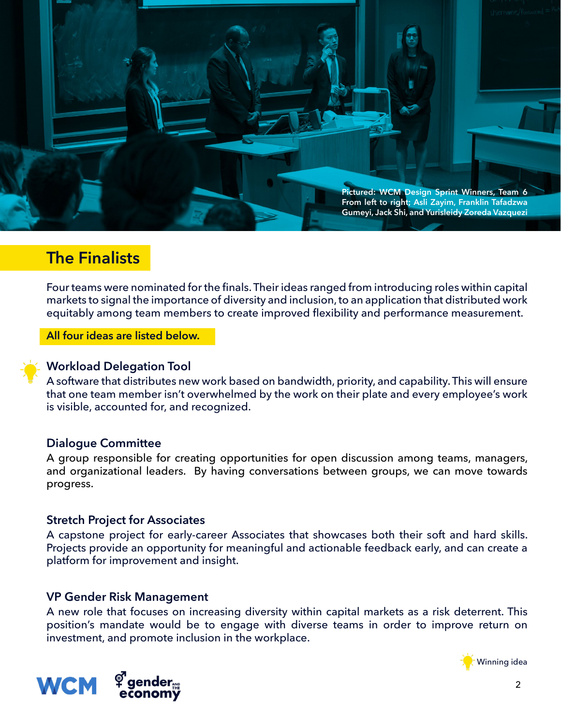

## **The Finalists**

Four teams were nominated for the finals. Their ideas ranged from introducing roles within capital markets to signal the importance of diversity and inclusion, to an application that distributed work equitably among team members to create improved flexibility and performance measurement.

**All four ideas are listed below.**



#### **Workload Delegation Tool**

A software that distributes new work based on bandwidth, priority, and capability. This will ensure that one team member isn't overwhelmed by the work on their plate and every employee's work is visible, accounted for, and recognized.

#### **Dialogue Committee**

A group responsible for creating opportunities for open discussion among teams, managers, and organizational leaders. By having conversations between groups, we can move towards progress.

#### **Stretch Project for Associates**

A capstone project for early-career Associates that showcases both their soft and hard skills. Projects provide an opportunity for meaningful and actionable feedback early, and can create a platform for improvement and insight.

#### **VP Gender Risk Management**

A new role that focuses on increasing diversity within capital markets as a risk deterrent. This position's mandate would be to engage with diverse teams in order to improve return on investment, and promote inclusion in the workplace.